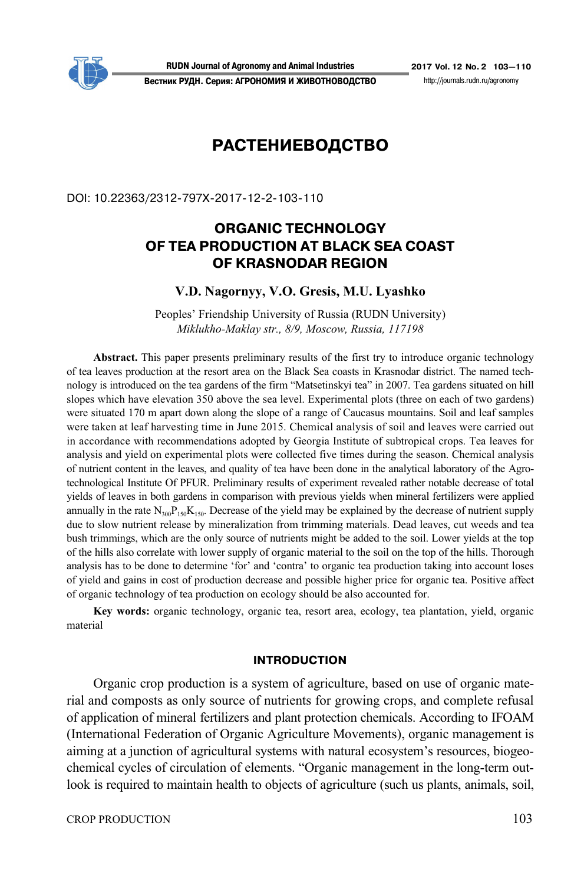

**RUDN Journal of Agronomy and Animal Industries 2017 Vol. 12 No. 2 103—110 Вестник РУДН. Серия: АГРОНОМИЯ И ЖИВОТНОВОДСТВО** http://journals.rudn.ru/agronomy

# **РАСТЕНИЕВОДСТВО**

DOI: 10.22363/2312-797Х-2017-12-2-103-110

## **ORGANIC TECHNOLOGY OF TEA PRODUCTION AT BLACK SEA COAST OF KRASNODAR REGION**

#### **V.D. Nagornyy, V.O. Gresis, M.U. Lyashko**

Peoples' Friendship University of Russia (RUDN University) *Miklukho-Maklay str., 8/9, Moscow, Russia, 117198* 

**Abstract.** This paper presents preliminary results of the first try to introduce organic technology of tea leaves production at the resort area on the Black Sea coasts in Krasnodar district. The named technology is introduced on the tea gardens of the firm "Matsetinskyi tea" in 2007. Tea gardens situated on hill slopes which have elevation 350 above the sea level. Experimental plots (three on each of two gardens) were situated 170 m apart down along the slope of a range of Caucasus mountains. Soil and leaf samples were taken at leaf harvesting time in June 2015. Chemical analysis of soil and leaves were carried out in accordance with recommendations adopted by Georgia Institute of subtropical crops. Tea leaves for analysis and yield on experimental plots were collected five times during the season. Chemical analysis of nutrient content in the leaves, and quality of tea have been done in the analytical laboratory of the Agrotechnological Institute Of PFUR. Preliminary results of experiment revealed rather notable decrease of total yields of leaves in both gardens in comparison with previous yields when mineral fertilizers were applied annually in the rate  $N_{300}P_{150}K_{150}$ . Decrease of the yield may be explained by the decrease of nutrient supply due to slow nutrient release by mineralization from trimming materials. Dead leaves, cut weeds and tea bush trimmings, which are the only source of nutrients might be added to the soil. Lower yields at the top of the hills also correlate with lower supply of organic material to the soil on the top of the hills. Thorough analysis has to be done to determine 'for' and 'contra' to organic tea production taking into account loses of yield and gains in cost of production decrease and possible higher price for organic tea. Positive affect of organic technology of tea production on ecology should be also accounted for.

**Key words:** organic technology, organic tea, resort area, ecology, tea plantation, yield, organic material

#### **INTRODUCTION**

Organic crop production is a system of agriculture, based on use of organic material and composts as only source of nutrients for growing crops, and complete refusal of application of mineral fertilizers and plant protection chemicals. According to IFOAM (International Federation of Organic Agriculture Movements), organic management is aiming at a junction of agricultural systems with natural ecosystem's resources, biogeochemical cycles of circulation of elements. "Organic management in the long-term outlook is required to maintain health to objects of agriculture (such us plants, animals, soil,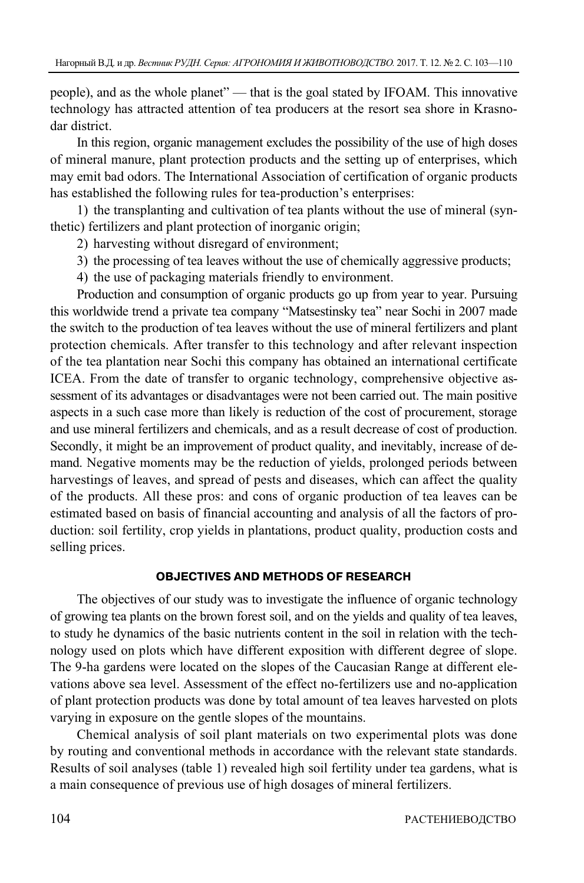people), and as the whole planet" — that is the goal stated by IFOAM. This innovative technology has attracted attention of tea producers at the resort sea shore in Krasnodar district.

In this region, organic management excludes the possibility of the use of high doses of mineral manure, plant protection products and the setting up of enterprises, which may emit bad odors. The International Association of certification of organic products has established the following rules for tea-production's enterprises:

1) the transplanting and cultivation of tea plants without the use of mineral (synthetic) fertilizers and plant protection of inorganic origin;

- 2) harvesting without disregard of environment;
- 3) the processing of tea leaves without the use of chemically aggressive products;
- 4) the use of packaging materials friendly to environment.

Production and consumption of organic products go up from year to year. Pursuing this worldwide trend a private tea company "Matsestinsky tea" near Sochi in 2007 made the switch to the production of tea leaves without the use of mineral fertilizers and plant protection chemicals. After transfer to this technology and after relevant inspection of the tea plantation near Sochi this company has obtained an international certificate ICEA. From the date of transfer to organic technology, comprehensive objective assessment of its advantages or disadvantages were not been carried out. The main positive aspects in a such case more than likely is reduction of the cost of procurement, storage and use mineral fertilizers and chemicals, and as a result decrease of cost of production. Secondly, it might be an improvement of product quality, and inevitably, increase of demand. Negative moments may be the reduction of yields, prolonged periods between harvestings of leaves, and spread of pests and diseases, which can affect the quality of the products. All these pros: and cons of organic production of tea leaves can be estimated based on basis of financial accounting and analysis of all the factors of production: soil fertility, crop yields in plantations, product quality, production costs and selling prices.

#### **OBJECTIVES AND METHODS OF RESEARCH**

The objectives of our study was to investigate the influence of organic technology of growing tea plants on the brown forest soil, and on the yields and quality of tea leaves, to study he dynamics of the basic nutrients content in the soil in relation with the technology used on plots which have different exposition with different degree of slope. The 9-ha gardens were located on the slopes of the Caucasian Range at different elevations above sea level. Assessment of the effect no-fertilizers use and no-application of plant protection products was done by total amount of tea leaves harvested on plots varying in exposure on the gentle slopes of the mountains.

Chemical analysis of soil plant materials on two experimental plots was done by routing and conventional methods in accordance with the relevant state standards. Results of soil analyses (table 1) revealed high soil fertility under tea gardens, what is a main consequence of previous use of high dosages of mineral fertilizers.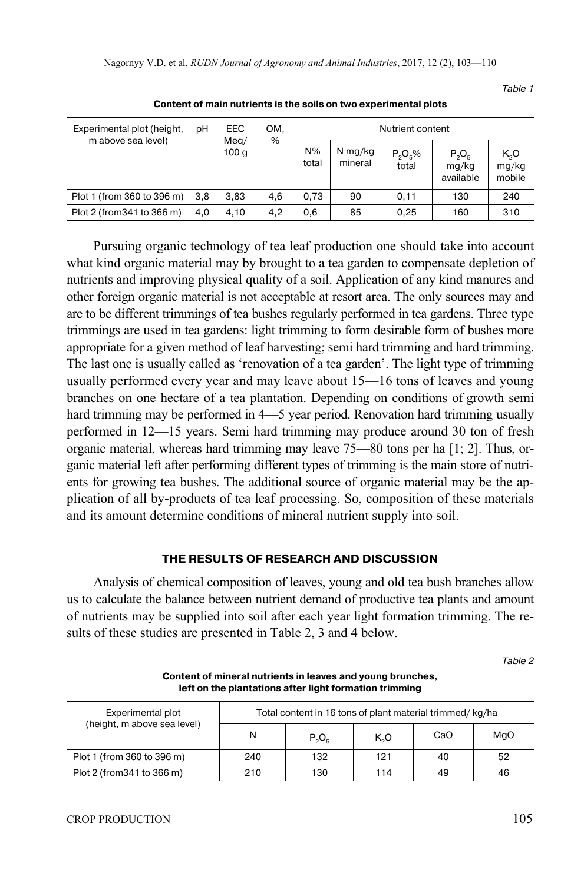Table 1

| Experimental plot (height,<br>m above sea level) | рH  | EEC<br>Meq/<br>100 g | OM.<br>% | Nutrient content |                    |                     |                                |                                     |
|--------------------------------------------------|-----|----------------------|----------|------------------|--------------------|---------------------|--------------------------------|-------------------------------------|
|                                                  |     |                      |          | $N\%$<br>total   | N mg/kg<br>mineral | $P_2O_5\%$<br>total | $P_2O_5$<br>mg/kg<br>available | K <sub>2</sub> O<br>mg/kg<br>mobile |
| Plot 1 (from 360 to 396 m)                       | 3.8 | 3.83                 | 4,6      | 0.73             | 90                 | 0.11                | 130                            | 240                                 |
| Plot 2 (from 341 to 366 m)                       | 4,0 | 4,10                 | 4,2      | 0,6              | 85                 | 0,25                | 160                            | 310                                 |

**Content of main nutrients is the soils on two experimental plots** 

Pursuing organic technology of tea leaf production one should take into account what kind organic material may by brought to a tea garden to compensate depletion of nutrients and improving physical quality of a soil. Application of any kind manures and other foreign organic material is not acceptable at resort area. The only sources may and are to be different trimmings of tea bushes regularly performed in tea gardens. Three type trimmings are used in tea gardens: light trimming to form desirable form of bushes more appropriate for a given method of leaf harvesting; semi hard trimming and hard trimming. The last one is usually called as 'renovation of a tea garden'. The light type of trimming usually performed every year and may leave about 15—16 tons of leaves and young branches on one hectare of a tea plantation. Depending on conditions of growth semi hard trimming may be performed in 4—5 year period. Renovation hard trimming usually performed in 12—15 years. Semi hard trimming may produce around 30 ton of fresh organic material, whereas hard trimming may leave 75—80 tons per ha [1; 2]. Thus, organic material left after performing different types of trimming is the main store of nutrients for growing tea bushes. The additional source of organic material may be the application of all by-products of tea leaf processing. So, composition of these materials and its amount determine conditions of mineral nutrient supply into soil.

### **THE RESULTS OF RESEARCH AND DISCUSSION**

Analysis of chemical composition of leaves, young and old tea bush branches allow us to calculate the balance between nutrient demand of productive tea plants and amount of nutrients may be supplied into soil after each year light formation trimming. The results of these studies are presented in Table 2, 3 and 4 below.

Table 2

Experimental plot (height, m above sea level) Total content in 16 tons of plant material trimmed/ kg/ha N  $P_2O_5$  K<sub>2</sub>O CaO MgO Plot 1 (from 360 to 396 m) 240 132 121 40 52 Plot 2 (from 341 to 366 m) 210 130 114 49 46

**Content of mineral nutrients in leaves and young brunches, left on the plantations after light formation trimming**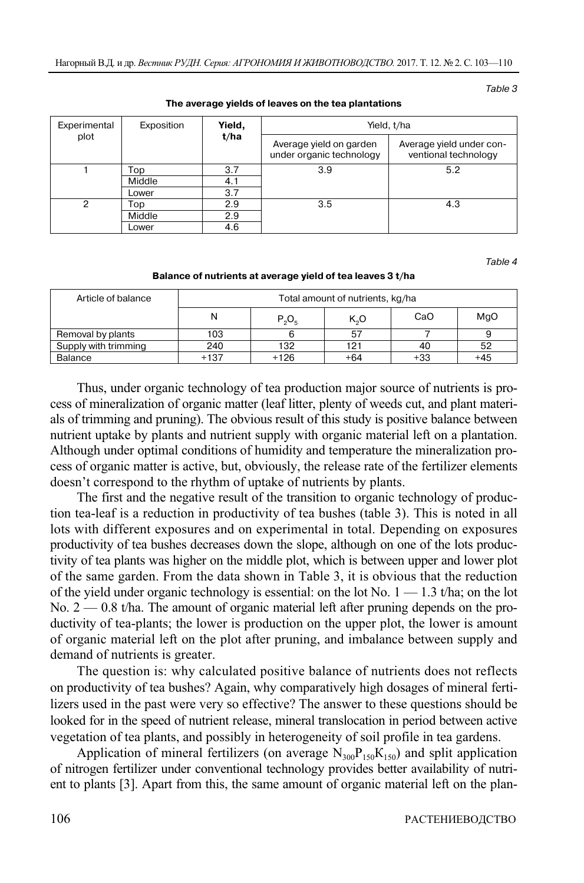Table 3

| Experimental<br>plot | Exposition | Yield,<br>t/ha | Yield, t/ha                                         |                                                  |  |  |
|----------------------|------------|----------------|-----------------------------------------------------|--------------------------------------------------|--|--|
|                      |            |                | Average yield on garden<br>under organic technology | Average yield under con-<br>ventional technology |  |  |
|                      | Top        | 3.7            | 3.9                                                 | 5.2                                              |  |  |
|                      | Middle     | 4.1            |                                                     |                                                  |  |  |
|                      | Lower      | 3.7            |                                                     |                                                  |  |  |
| ≘                    | Top        | 2.9            | 3.5                                                 | 4.3                                              |  |  |
|                      | Middle     | 2.9            |                                                     |                                                  |  |  |
|                      | Lower      | 4.6            |                                                     |                                                  |  |  |

#### **The average yields of leaves on the tea plantations**

Table 4

**Balance of nutrients at average yield of tea leaves 3 t/ha** 

| Article of balance   | Total amount of nutrients, kg/ha |          |       |     |     |  |  |  |
|----------------------|----------------------------------|----------|-------|-----|-----|--|--|--|
|                      | N                                | $P_2O_6$ | K,O   | CaO | MgO |  |  |  |
| Removal by plants    | 103                              |          | 57    |     |     |  |  |  |
| Supply with trimming | 240                              | 132      | 121   | 40  | 52  |  |  |  |
| Balance              | $+137$                           | $+126$   | $+64$ | +33 | +45 |  |  |  |

Thus, under organic technology of tea production major source of nutrients is process of mineralization of organic matter (leaf litter, plenty of weeds cut, and plant materials of trimming and pruning). The obvious result of this study is positive balance between nutrient uptake by plants and nutrient supply with organic material left on a plantation. Although under optimal conditions of humidity and temperature the mineralization process of organic matter is active, but, obviously, the release rate of the fertilizer elements doesn't correspond to the rhythm of uptake of nutrients by plants.

The first and the negative result of the transition to organic technology of production tea-leaf is a reduction in productivity of tea bushes (table 3). This is noted in all lots with different exposures and on experimental in total. Depending on exposures productivity of tea bushes decreases down the slope, although on one of the lots productivity of tea plants was higher on the middle plot, which is between upper and lower plot of the same garden. From the data shown in Table 3, it is obvious that the reduction of the yield under organic technology is essential: on the lot No.  $1 - 1.3$  t/ha; on the lot No. 2 — 0.8 t/ha. The amount of organic material left after pruning depends on the productivity of tea-plants; the lower is production on the upper plot, the lower is amount of organic material left on the plot after pruning, and imbalance between supply and demand of nutrients is greater.

The question is: why calculated positive balance of nutrients does not reflects on productivity of tea bushes? Again, why comparatively high dosages of mineral fertilizers used in the past were very so effective? The answer to these questions should be looked for in the speed of nutrient release, mineral translocation in period between active vegetation of tea plants, and possibly in heterogeneity of soil profile in tea gardens.

Application of mineral fertilizers (on average  $N_{300}P_{150}K_{150}$ ) and split application of nitrogen fertilizer under conventional technology provides better availability of nutrient to plants [3]. Apart from this, the same amount of organic material left on the plan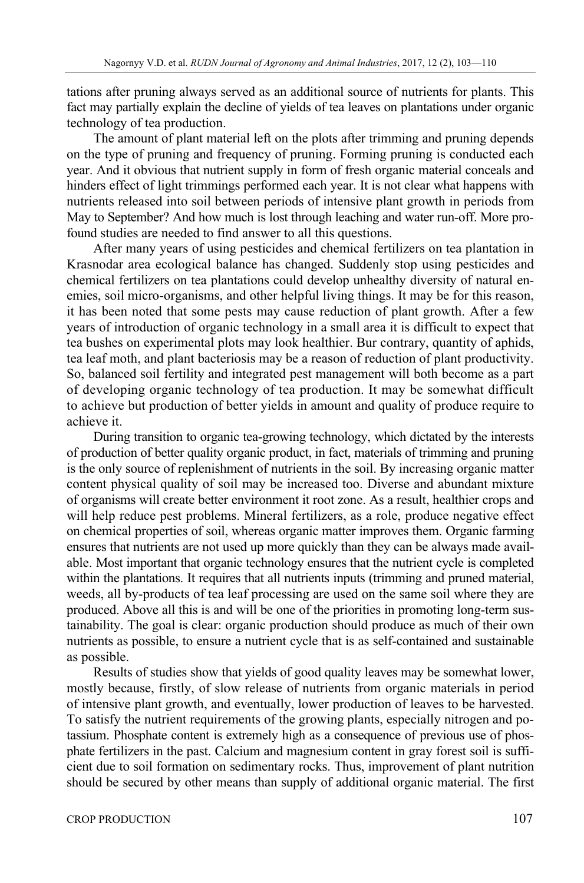tations after pruning always served as an additional source of nutrients for plants. This fact may partially explain the decline of yields of tea leaves on plantations under organic technology of tea production.

The amount of plant material left on the plots after trimming and pruning depends on the type of pruning and frequency of pruning. Forming pruning is conducted each year. And it obvious that nutrient supply in form of fresh organic material conceals and hinders effect of light trimmings performed each year. It is not clear what happens with nutrients released into soil between periods of intensive plant growth in periods from May to September? And how much is lost through leaching and water run-off. More profound studies are needed to find answer to all this questions.

After many years of using pesticides and chemical fertilizers on tea plantation in Krasnodar area ecological balance has changed. Suddenly stop using pesticides and chemical fertilizers on tea plantations could develop unhealthy diversity of natural enemies, soil micro-organisms, and other helpful living things. It may be for this reason, it has been noted that some pests may cause reduction of plant growth. After a few years of introduction of organic technology in a small area it is difficult to expect that tea bushes on experimental plots may look healthier. Bur contrary, quantity of aphids, tea leaf moth, and plant bacteriosis may be a reason of reduction of plant productivity. So, balanced soil fertility and integrated pest management will both become as a part of developing organic technology of tea production. It may be somewhat difficult to achieve but production of better yields in amount and quality of produce require to achieve it.

During transition to organic tea-growing technology, which dictated by the interests of production of better quality organic product, in fact, materials of trimming and pruning is the only source of replenishment of nutrients in the soil. By increasing organic matter content physical quality of soil may be increased too. Diverse and abundant mixture of organisms will create better environment it root zone. As a result, healthier crops and will help reduce pest problems. Mineral fertilizers, as a role, produce negative effect on chemical properties of soil, whereas organic matter improves them. Organic farming ensures that nutrients are not used up more quickly than they can be always made available. Most important that organic technology ensures that the nutrient cycle is completed within the plantations. It requires that all nutrients inputs (trimming and pruned material, weeds, all by-products of tea leaf processing are used on the same soil where they are produced. Above all this is and will be one of the priorities in promoting long-term sustainability. The goal is clear: organic production should produce as much of their own nutrients as possible, to ensure a nutrient cycle that is as self-contained and sustainable as possible.

Results of studies show that yields of good quality leaves may be somewhat lower, mostly because, firstly, of slow release of nutrients from organic materials in period of intensive plant growth, and eventually, lower production of leaves to be harvested. To satisfy the nutrient requirements of the growing plants, especially nitrogen and potassium. Phosphate content is extremely high as a consequence of previous use of phosphate fertilizers in the past. Calcium and magnesium content in gray forest soil is sufficient due to soil formation on sedimentary rocks. Thus, improvement of plant nutrition should be secured by other means than supply of additional organic material. The first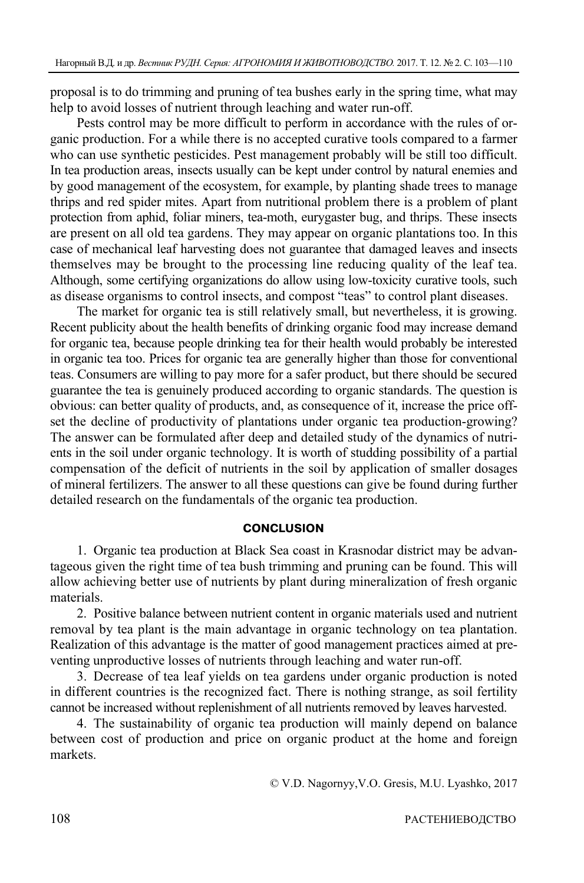proposal is to do trimming and pruning of tea bushes early in the spring time, what may help to avoid losses of nutrient through leaching and water run-off.

Pests control may be more difficult to perform in accordance with the rules of organic production. For a while there is no accepted curative tools compared to a farmer who can use synthetic pesticides. Pest management probably will be still too difficult. In tea production areas, insects usually can be kept under control by natural enemies and by good management of the ecosystem, for example, by planting shade trees to manage thrips and red spider mites. Apart from nutritional problem there is a problem of plant protection from aphid, foliar miners, tea-moth, eurygaster bug, and thrips. These insects are present on all old tea gardens. They may appear on organic plantations too. In this case of mechanical leaf harvesting does not guarantee that damaged leaves and insects themselves may be brought to the processing line reducing quality of the leaf tea. Although, some certifying organizations do allow using low-toxicity curative tools, such as disease organisms to control insects, and compost "teas" to control plant diseases.

The market for organic tea is still relatively small, but nevertheless, it is growing. Recent publicity about the health benefits of drinking organic food may increase demand for organic tea, because people drinking tea for their health would probably be interested in organic tea too. Prices for organic tea are generally higher than those for conventional teas. Consumers are willing to pay more for a safer product, but there should be secured guarantee the tea is genuinely produced according to organic standards. The question is obvious: can better quality of products, and, as consequence of it, increase the price offset the decline of productivity of plantations under organic tea production-growing? The answer can be formulated after deep and detailed study of the dynamics of nutrients in the soil under organic technology. It is worth of studding possibility of a partial compensation of the deficit of nutrients in the soil by application of smaller dosages of mineral fertilizers. The answer to all these questions can give be found during further detailed research on the fundamentals of the organic tea production.

#### **CONCLUSION**

1. Organic tea production at Black Sea coast in Krasnodar district may be advantageous given the right time of tea bush trimming and pruning can be found. This will allow achieving better use of nutrients by plant during mineralization of fresh organic materials.

2. Positive balance between nutrient content in organic materials used and nutrient removal by tea plant is the main advantage in organic technology on tea plantation. Realization of this advantage is the matter of good management practices aimed at preventing unproductive losses of nutrients through leaching and water run-off.

3. Decrease of tea leaf yields on tea gardens under organic production is noted in different countries is the recognized fact. There is nothing strange, as soil fertility cannot be increased without replenishment of all nutrients removed by leaves harvested.

4. The sustainability of organic tea production will mainly depend on balance between cost of production and price on organic product at the home and foreign markets.

© V.D. Nagornyy,V.O. Gresis, M.U. Lyashko, 2017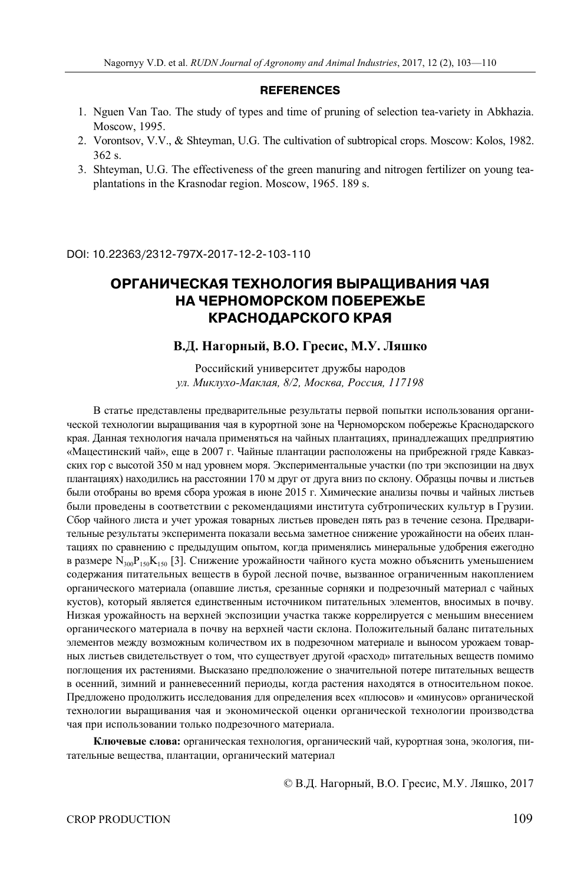#### **REFERENCES**

- 1. Nguen Van Tao. The study of types and time of pruning of selection tea-variety in Abkhazia. Moscow, 1995.
- 2. Vorontsov, V.V., & Shteyman, U.G. The cultivation of subtropical crops. Moscow: Kolos, 1982. 362 s.
- 3. Shteyman, U.G. The effectiveness of the green manuring and nitrogen fertilizer on young teaplantations in the Krasnodar region. Moscow, 1965. 189 s.

DOI: 10.22363/2312-797Х-2017-12-2-103-110

### **ОРГАНИЧЕСКАЯ ТЕХНОЛОГИЯ ВЫРАЩИВАНИЯ ЧАЯ НА ЧЕРНОМОРСКОМ ПОБЕРЕЖЬЕ КРАСНОДАРСКОГО КРАЯ**

#### **В.Д. Нагорный, В.О. Гресис, М.У. Ляшко**

Российский университет дружбы народов *ул. Миклухо-Маклая, 8/2, Москва, Россия, 117198* 

В статье представлены предварительные результаты первой попытки использования органической технологии выращивания чая в курортной зоне на Черноморском побережье Краснодарского края. Данная технология начала применяться на чайных плантациях, принадлежащих предприятию «Мацестинский чай», еще в 2007 г. Чайные плантации расположены на прибрежной гряде Кавказских гор с высотой 350 м над уровнем моря. Экспериментальные участки (по три экспозиции на двух плантациях) находились на расстоянии 170 м друг от друга вниз по склону. Образцы почвы и листьев были отобраны во время сбора урожая в июне 2015 г. Химические анализы почвы и чайных листьев были проведены в соответствии с рекомендациями института субтропических культур в Грузии. Сбор чайного листа и учет урожая товарных листьев проведен пять раз в течение сезона. Предварительные результаты эксперимента показали весьма заметное снижение урожайности на обeих плантациях по сравнению с предыдущим опытом, когда применялись минеральные удобрения ежегодно в размере  $N_{300}P_{150}K_{150}$  [3]. Снижение урожайности чайного куста можно объяснить уменьшением содержания питательных веществ в бурой лесной почве, вызванное ограниченным накоплением органического материала (опавшие листья, срезанные сорняки и подрезочный материал с чайных кустов), который является единственным источником питательных элементов, вносимых в почву. Низкая урожайность на верхней экспозиции участка также коррелируется с меньшим внесением органического материала в почву на верхней части склона. Положительный баланс питательных элементов между возможным количеством их в подрезочном материале и выносом урожаем товарных листьев свидетельствует о том, что существует другой «расход» питательных веществ помимо поглощения их растениями. Высказано предположение о значительной потере питательных веществ в осенний, зимний и ранневесенний периоды, когда растения находятся в относительном покое. Предложено продолжить исследования для определения всех «плюсов» и «минусов» органической технологии выращивания чая и экономической оценки органической технологии производства чая при использовании только подрезочного материала.

**Ключевые слова:** органическая технология, органический чай, курортная зона, экология, питательные вещества, плантации, органический материал

© В.Д. Нагорный, В.О. Гресис, М.У. Ляшко, 2017